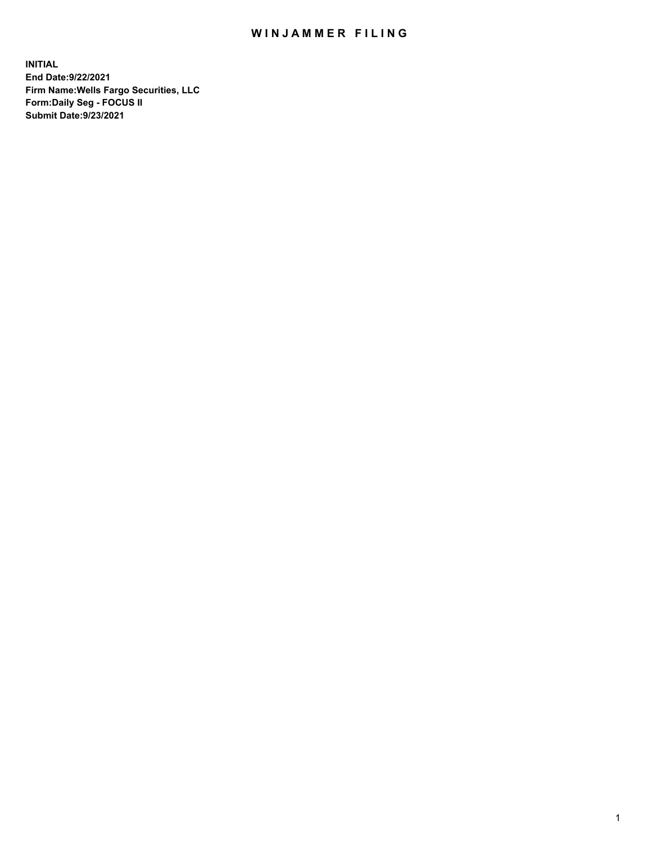## WIN JAMMER FILING

**INITIAL End Date:9/22/2021 Firm Name:Wells Fargo Securities, LLC Form:Daily Seg - FOCUS II Submit Date:9/23/2021**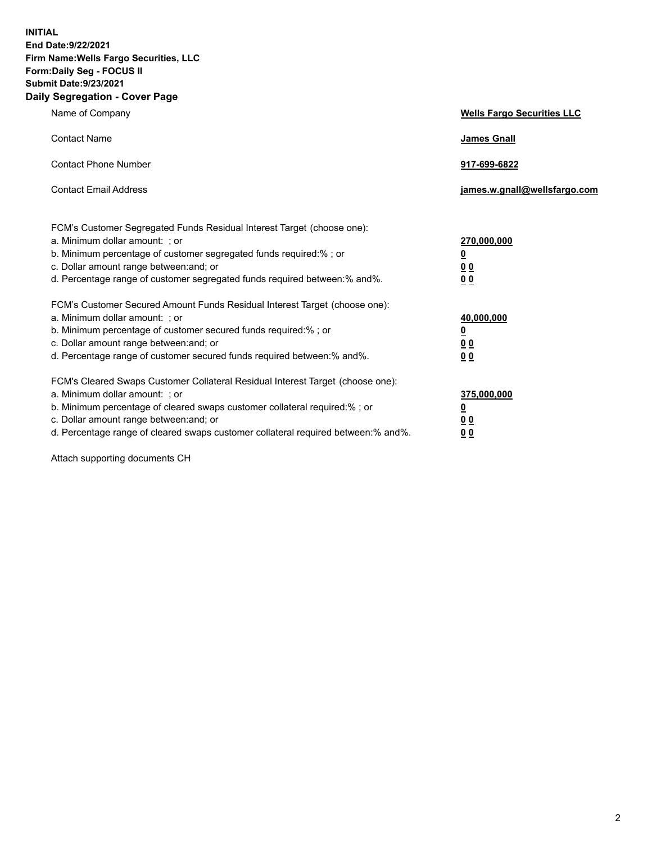**INITIAL End Date:9/22/2021 Firm Name:Wells Fargo Securities, LLC Form:Daily Seg - FOCUS II Submit Date:9/23/2021 Daily Segregation - Cover Page**

| Name of Company                                                                                                                                                                                                                                                                                                                | <b>Wells Fargo Securities LLC</b>                          |
|--------------------------------------------------------------------------------------------------------------------------------------------------------------------------------------------------------------------------------------------------------------------------------------------------------------------------------|------------------------------------------------------------|
| <b>Contact Name</b>                                                                                                                                                                                                                                                                                                            | <b>James Gnall</b>                                         |
| <b>Contact Phone Number</b>                                                                                                                                                                                                                                                                                                    | 917-699-6822                                               |
| <b>Contact Email Address</b>                                                                                                                                                                                                                                                                                                   | james.w.gnall@wellsfargo.com                               |
| FCM's Customer Segregated Funds Residual Interest Target (choose one):<br>a. Minimum dollar amount: ; or<br>b. Minimum percentage of customer segregated funds required:% ; or<br>c. Dollar amount range between: and; or<br>d. Percentage range of customer segregated funds required between:% and%.                         | 270,000,000<br><u>0</u><br><u>00</u><br>0 <sub>0</sub>     |
| FCM's Customer Secured Amount Funds Residual Interest Target (choose one):<br>a. Minimum dollar amount: ; or<br>b. Minimum percentage of customer secured funds required:% ; or<br>c. Dollar amount range between: and; or<br>d. Percentage range of customer secured funds required between: % and %.                         | 40,000,000<br><u>0</u><br>0 <sub>0</sub><br>0 <sub>0</sub> |
| FCM's Cleared Swaps Customer Collateral Residual Interest Target (choose one):<br>a. Minimum dollar amount: ; or<br>b. Minimum percentage of cleared swaps customer collateral required:% ; or<br>c. Dollar amount range between: and; or<br>d. Percentage range of cleared swaps customer collateral required between:% and%. | 375,000,000<br><u>0</u><br>0 Q<br><u>00</u>                |

Attach supporting documents CH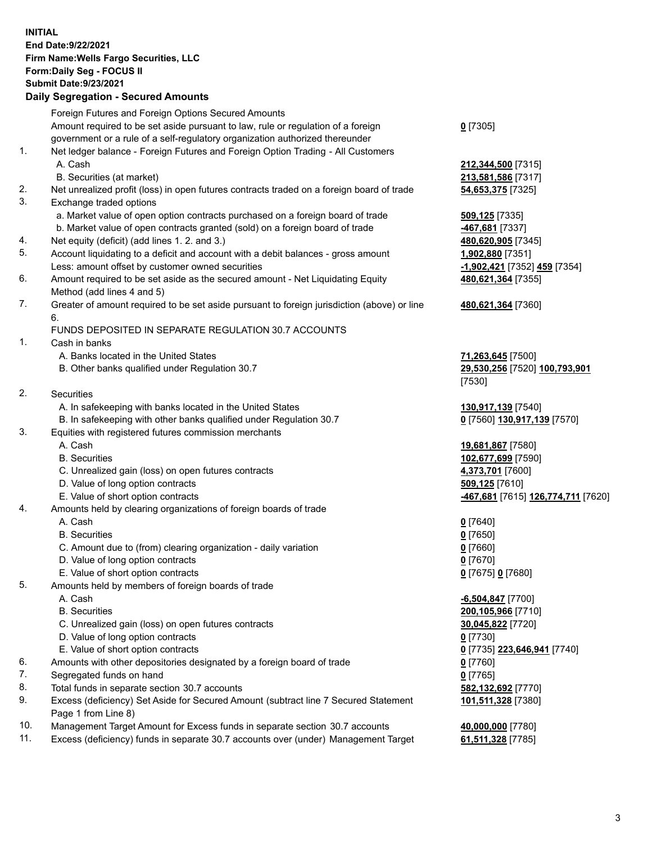**INITIAL End Date:9/22/2021 Firm Name:Wells Fargo Securities, LLC Form:Daily Seg - FOCUS II Submit Date:9/23/2021**

## **Daily Segregation - Secured Amounts**

|    | Foreign Futures and Foreign Options Secured Amounts                                         |                                                   |
|----|---------------------------------------------------------------------------------------------|---------------------------------------------------|
|    | Amount required to be set aside pursuant to law, rule or regulation of a foreign            | $0$ [7305]                                        |
|    | government or a rule of a self-regulatory organization authorized thereunder                |                                                   |
| 1. | Net ledger balance - Foreign Futures and Foreign Option Trading - All Customers             |                                                   |
|    | A. Cash                                                                                     | 212,344,500 [7315]                                |
|    | B. Securities (at market)                                                                   | 213,581,586 [7317]                                |
| 2. | Net unrealized profit (loss) in open futures contracts traded on a foreign board of trade   | 54,653,375 [7325]                                 |
| 3. | Exchange traded options                                                                     |                                                   |
|    | a. Market value of open option contracts purchased on a foreign board of trade              | 509,125 [7335]                                    |
|    | b. Market value of open contracts granted (sold) on a foreign board of trade                | -467,681 [7337]                                   |
| 4. | Net equity (deficit) (add lines 1. 2. and 3.)                                               | 480,620,905 [7345]                                |
| 5. | Account liquidating to a deficit and account with a debit balances - gross amount           | 1,902,880 [7351]                                  |
|    | Less: amount offset by customer owned securities                                            | -1,902,421 [7352] 459 [7354]                      |
| 6. | Amount required to be set aside as the secured amount - Net Liquidating Equity              | 480,621,364 [7355]                                |
|    | Method (add lines 4 and 5)                                                                  |                                                   |
| 7. | Greater of amount required to be set aside pursuant to foreign jurisdiction (above) or line | 480,621,364 [7360]                                |
|    | 6.                                                                                          |                                                   |
|    | FUNDS DEPOSITED IN SEPARATE REGULATION 30.7 ACCOUNTS                                        |                                                   |
| 1. | Cash in banks                                                                               |                                                   |
|    | A. Banks located in the United States                                                       | 71,263,645 [7500]                                 |
|    | B. Other banks qualified under Regulation 30.7                                              | 29,530,256 [7520] 100,793,901                     |
|    |                                                                                             | [7530]                                            |
| 2. | <b>Securities</b>                                                                           |                                                   |
|    | A. In safekeeping with banks located in the United States                                   | 130,917,139 [7540]                                |
|    | B. In safekeeping with other banks qualified under Regulation 30.7                          | 0 [7560] 130,917,139 [7570]                       |
| 3. | Equities with registered futures commission merchants                                       |                                                   |
|    | A. Cash                                                                                     | 19,681,867 [7580]                                 |
|    | <b>B.</b> Securities                                                                        | 102,677,699 [7590]                                |
|    | C. Unrealized gain (loss) on open futures contracts                                         | 4,373,701 [7600]                                  |
|    | D. Value of long option contracts                                                           | 509,125 [7610]                                    |
|    | E. Value of short option contracts                                                          | -467,681 [7615] 126,774,711 [7620]                |
| 4. | Amounts held by clearing organizations of foreign boards of trade                           |                                                   |
|    | A. Cash                                                                                     | $0$ [7640]                                        |
|    | <b>B.</b> Securities                                                                        | $0$ [7650]                                        |
|    | C. Amount due to (from) clearing organization - daily variation                             | $0$ [7660]                                        |
|    | D. Value of long option contracts                                                           | $0$ [7670]                                        |
|    | E. Value of short option contracts                                                          | 0 [7675] 0 [7680]                                 |
| 5. | Amounts held by members of foreign boards of trade                                          |                                                   |
|    | A. Cash                                                                                     | $-6,504,847$ [7700]                               |
|    | <b>B.</b> Securities                                                                        | 200,105,966 [7710]                                |
|    | C. Unrealized gain (loss) on open futures contracts                                         | 30,045,822 [7720]                                 |
|    | D. Value of long option contracts                                                           | $0$ [7730]                                        |
|    | E. Value of short option contracts                                                          | 0 <sup>[7735]</sup> 223,646,941 <sup>[7740]</sup> |
| 6. | Amounts with other depositories designated by a foreign board of trade                      | $0$ [7760]                                        |
| 7. | Segregated funds on hand                                                                    | $0$ [7765]                                        |
| 8. | Total funds in separate section 30.7 accounts                                               | 582,132,692 [7770]                                |
| 9. | Excess (deficiency) Set Aside for Secured Amount (subtract line 7 Secured Statement         | 101,511,328 [7380]                                |
|    | Page 1 from Line 8)                                                                         |                                                   |

- 10. Management Target Amount for Excess funds in separate section 30.7 accounts **40,000,000** [7780]
- 11. Excess (deficiency) funds in separate 30.7 accounts over (under) Management Target **61,511,328** [7785]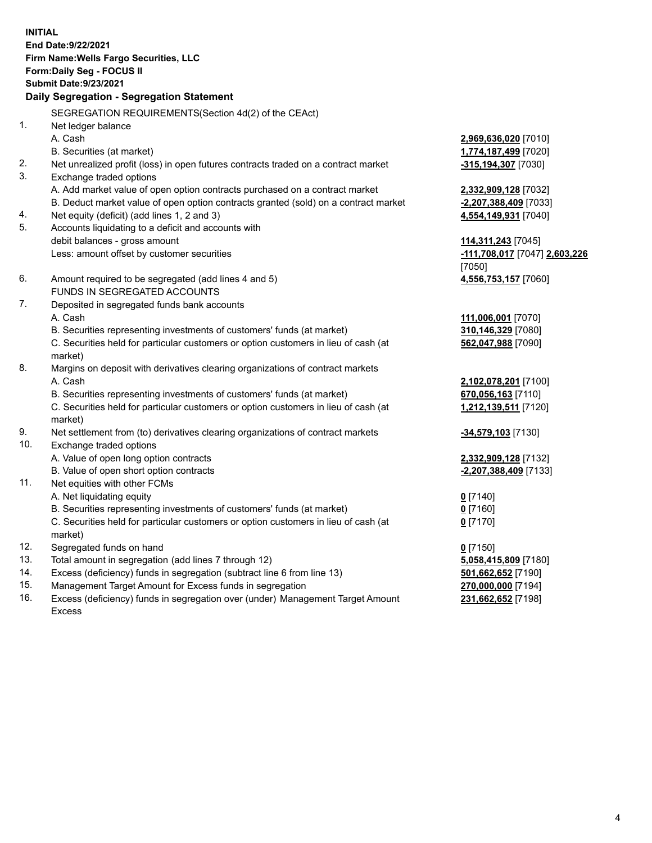**INITIAL End Date:9/22/2021 Firm Name:Wells Fargo Securities, LLC Form:Daily Seg - FOCUS II Submit Date:9/23/2021**

## **Daily Segregation - Segregation Statement**

SEGREGATION REQUIREMENTS(Section 4d(2) of the CEAct)

| 1.  | Net ledger balance                                                                  |                               |
|-----|-------------------------------------------------------------------------------------|-------------------------------|
|     | A. Cash                                                                             | 2,969,636,020 [7010]          |
|     | B. Securities (at market)                                                           | 1,774,187,499 [7020]          |
| 2.  | Net unrealized profit (loss) in open futures contracts traded on a contract market  | -315,194,307 [7030]           |
| 3.  | Exchange traded options                                                             |                               |
|     | A. Add market value of open option contracts purchased on a contract market         | 2,332,909,128 [7032]          |
|     | B. Deduct market value of open option contracts granted (sold) on a contract market | -2,207,388,409 [7033]         |
| 4.  | Net equity (deficit) (add lines 1, 2 and 3)                                         | 4,554,149,931 [7040]          |
| 5.  | Accounts liquidating to a deficit and accounts with                                 |                               |
|     | debit balances - gross amount                                                       | 114,311,243 [7045]            |
|     | Less: amount offset by customer securities                                          | -111,708,017 [7047] 2,603,226 |
|     |                                                                                     | [7050]                        |
| 6.  | Amount required to be segregated (add lines 4 and 5)                                | 4,556,753,157 [7060]          |
|     | FUNDS IN SEGREGATED ACCOUNTS                                                        |                               |
| 7.  | Deposited in segregated funds bank accounts                                         |                               |
|     | A. Cash                                                                             | 111,006,001 [7070]            |
|     | B. Securities representing investments of customers' funds (at market)              | 310,146,329 [7080]            |
|     | C. Securities held for particular customers or option customers in lieu of cash (at | 562,047,988 [7090]            |
|     | market)                                                                             |                               |
| 8.  | Margins on deposit with derivatives clearing organizations of contract markets      |                               |
|     | A. Cash                                                                             | 2,102,078,201 [7100]          |
|     | B. Securities representing investments of customers' funds (at market)              | 670,056,163 [7110]            |
|     | C. Securities held for particular customers or option customers in lieu of cash (at | 1,212,139,511 [7120]          |
|     | market)                                                                             |                               |
| 9.  | Net settlement from (to) derivatives clearing organizations of contract markets     | -34,579,103 [7130]            |
| 10. | Exchange traded options                                                             |                               |
|     | A. Value of open long option contracts                                              | 2,332,909,128 [7132]          |
|     | B. Value of open short option contracts                                             | -2,207,388,409 [7133]         |
| 11. | Net equities with other FCMs                                                        |                               |
|     | A. Net liquidating equity                                                           | $0$ [7140]                    |
|     | B. Securities representing investments of customers' funds (at market)              | $0$ [7160]                    |
|     | C. Securities held for particular customers or option customers in lieu of cash (at | $0$ [7170]                    |
|     | market)                                                                             |                               |
| 12. | Segregated funds on hand                                                            | $0$ [7150]                    |
| 13. | Total amount in segregation (add lines 7 through 12)                                | 5,058,415,809 [7180]          |
| 14. | Excess (deficiency) funds in segregation (subtract line 6 from line 13)             | 501,662,652 [7190]            |
| 15. | Management Target Amount for Excess funds in segregation                            | 270,000,000 [7194]            |
| 16. | Excess (deficiency) funds in segregation over (under) Management Target Amount      | 231,662,652 [7198]            |
|     | Excess                                                                              |                               |